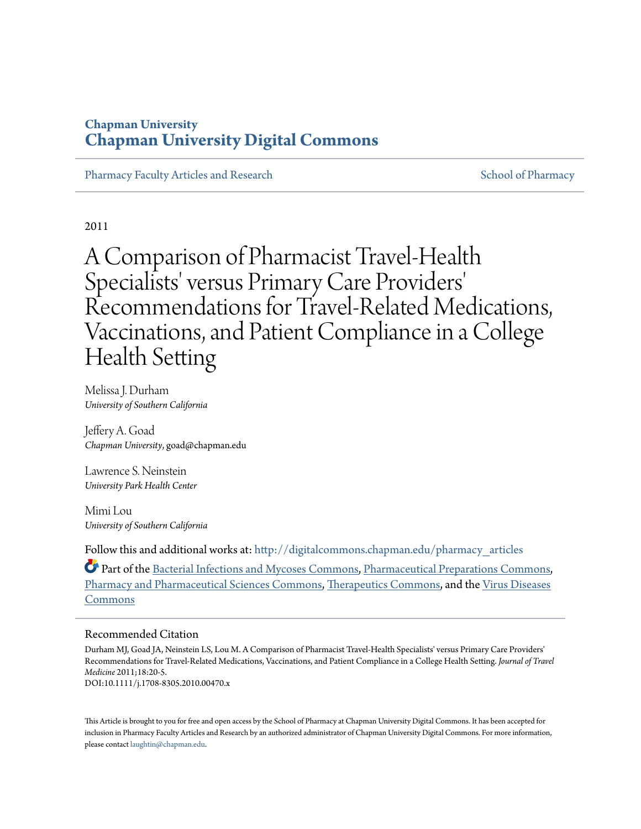# **Chapman University [Chapman University Digital Commons](http://digitalcommons.chapman.edu?utm_source=digitalcommons.chapman.edu%2Fpharmacy_articles%2F5&utm_medium=PDF&utm_campaign=PDFCoverPages)**

[Pharmacy Faculty Articles and Research](http://digitalcommons.chapman.edu/pharmacy_articles?utm_source=digitalcommons.chapman.edu%2Fpharmacy_articles%2F5&utm_medium=PDF&utm_campaign=PDFCoverPages) [School of Pharmacy](http://digitalcommons.chapman.edu/cusp?utm_source=digitalcommons.chapman.edu%2Fpharmacy_articles%2F5&utm_medium=PDF&utm_campaign=PDFCoverPages) School of Pharmacy

2011

A Comparison of Pharmacist Travel-Health Specialists' versus Primary Care Providers 'Recommendations for Travel-Related Medications, Vaccinations, and Patient Compliance in a College Health Setting

Melissa J. Durham *University of Southern California*

Jeffery A. Goad *Chapman University*, goad@chapman.edu

Lawrence S. Neinstein *University Park Health Center*

Mimi Lou *University of Southern California*

Follow this and additional works at: [http://digitalcommons.chapman.edu/pharmacy\\_articles](http://digitalcommons.chapman.edu/pharmacy_articles?utm_source=digitalcommons.chapman.edu%2Fpharmacy_articles%2F5&utm_medium=PDF&utm_campaign=PDFCoverPages)

Part of the [Bacterial Infections and Mycoses Commons,](http://network.bepress.com/hgg/discipline/966?utm_source=digitalcommons.chapman.edu%2Fpharmacy_articles%2F5&utm_medium=PDF&utm_campaign=PDFCoverPages) [Pharmaceutical Preparations Commons,](http://network.bepress.com/hgg/discipline/936?utm_source=digitalcommons.chapman.edu%2Fpharmacy_articles%2F5&utm_medium=PDF&utm_campaign=PDFCoverPages) [Pharmacy and Pharmaceutical Sciences Commons,](http://network.bepress.com/hgg/discipline/731?utm_source=digitalcommons.chapman.edu%2Fpharmacy_articles%2F5&utm_medium=PDF&utm_campaign=PDFCoverPages) [Therapeutics Commons,](http://network.bepress.com/hgg/discipline/993?utm_source=digitalcommons.chapman.edu%2Fpharmacy_articles%2F5&utm_medium=PDF&utm_campaign=PDFCoverPages) and the [Virus Diseases](http://network.bepress.com/hgg/discipline/998?utm_source=digitalcommons.chapman.edu%2Fpharmacy_articles%2F5&utm_medium=PDF&utm_campaign=PDFCoverPages) [Commons](http://network.bepress.com/hgg/discipline/998?utm_source=digitalcommons.chapman.edu%2Fpharmacy_articles%2F5&utm_medium=PDF&utm_campaign=PDFCoverPages)

#### Recommended Citation

Durham MJ, Goad JA, Neinstein LS, Lou M. A Comparison of Pharmacist Travel-Health Specialists' versus Primary Care Providers' Recommendations for Travel-Related Medications, Vaccinations, and Patient Compliance in a College Health Setting. *Journal of Travel Medicine* 2011;18:20-5. DOI:10.1111/j.1708-8305.2010.00470.x

This Article is brought to you for free and open access by the School of Pharmacy at Chapman University Digital Commons. It has been accepted for inclusion in Pharmacy Faculty Articles and Research by an authorized administrator of Chapman University Digital Commons. For more information, please contact [laughtin@chapman.edu.](mailto:laughtin@chapman.edu)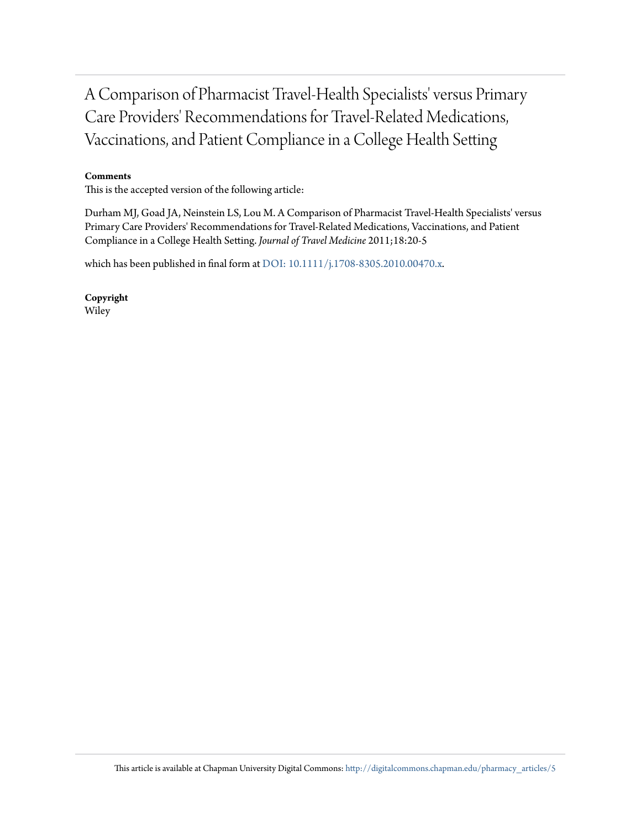A Comparison of Pharmacist Travel-Health Specialists' versus Primary Care Providers' Recommendations for Travel-Related Medications, Vaccinations, and Patient Compliance in a College Health Setting

#### **Comments**

This is the accepted version of the following article:

Durham MJ, Goad JA, Neinstein LS, Lou M. A Comparison of Pharmacist Travel-Health Specialists' versus Primary Care Providers' Recommendations for Travel-Related Medications, Vaccinations, and Patient Compliance in a College Health Setting. *Journal of Travel Medicine* 2011;18:20-5

which has been published in final form at [DOI: 10.1111/j.1708-8305.2010.00470.x](http://dx.doi.org/10.1111/j.1708-8305.2010.00470.x).

**Copyright** Wiley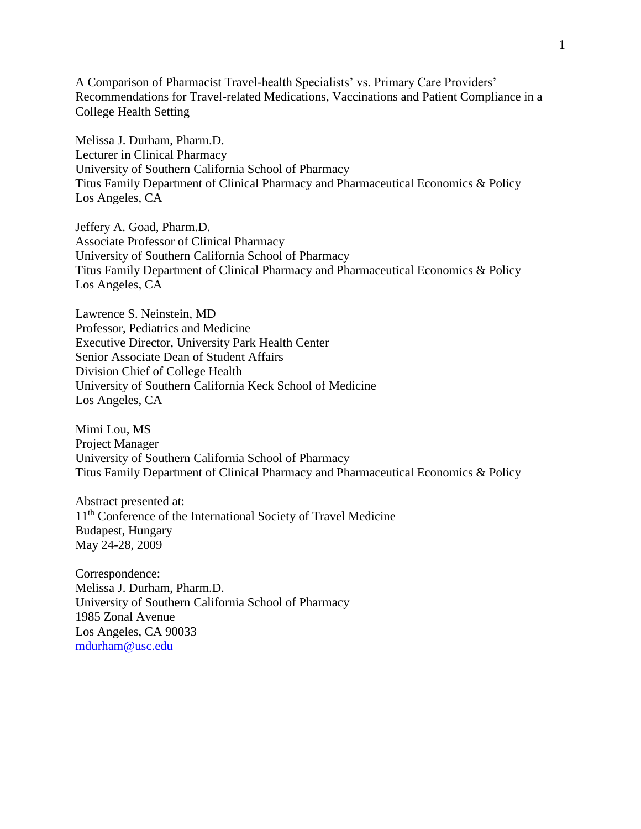A Comparison of Pharmacist Travel-health Specialists' vs. Primary Care Providers' Recommendations for Travel-related Medications, Vaccinations and Patient Compliance in a College Health Setting

Melissa J. Durham, Pharm.D. Lecturer in Clinical Pharmacy University of Southern California School of Pharmacy Titus Family Department of Clinical Pharmacy and Pharmaceutical Economics & Policy Los Angeles, CA

Jeffery A. Goad, Pharm.D. Associate Professor of Clinical Pharmacy University of Southern California School of Pharmacy Titus Family Department of Clinical Pharmacy and Pharmaceutical Economics & Policy Los Angeles, CA

Lawrence S. Neinstein, MD Professor, Pediatrics and Medicine Executive Director, University Park Health Center Senior Associate Dean of Student Affairs Division Chief of College Health University of Southern California Keck School of Medicine Los Angeles, CA

Mimi Lou, MS Project Manager University of Southern California School of Pharmacy Titus Family Department of Clinical Pharmacy and Pharmaceutical Economics & Policy

Abstract presented at: 11<sup>th</sup> Conference of the International Society of Travel Medicine Budapest, Hungary May 24-28, 2009

Correspondence: Melissa J. Durham, Pharm.D. University of Southern California School of Pharmacy 1985 Zonal Avenue Los Angeles, CA 90033 [mdurham@usc.edu](mailto:mdurham@usc.edu)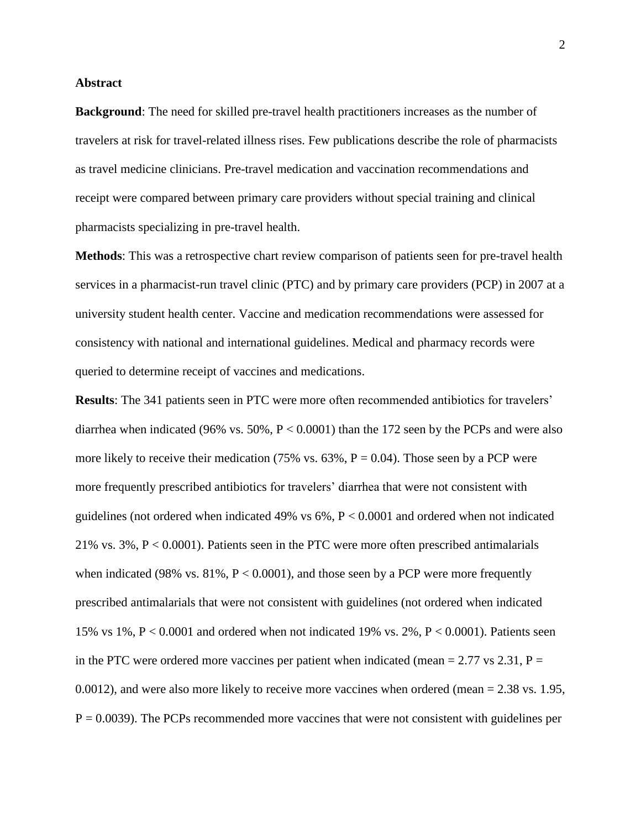### **Abstract**

**Background**: The need for skilled pre-travel health practitioners increases as the number of travelers at risk for travel-related illness rises. Few publications describe the role of pharmacists as travel medicine clinicians. Pre-travel medication and vaccination recommendations and receipt were compared between primary care providers without special training and clinical pharmacists specializing in pre-travel health.

**Methods**: This was a retrospective chart review comparison of patients seen for pre-travel health services in a pharmacist-run travel clinic (PTC) and by primary care providers (PCP) in 2007 at a university student health center. Vaccine and medication recommendations were assessed for consistency with national and international guidelines. Medical and pharmacy records were queried to determine receipt of vaccines and medications.

**Results**: The 341 patients seen in PTC were more often recommended antibiotics for travelers' diarrhea when indicated (96% vs. 50%, P < 0.0001) than the 172 seen by the PCPs and were also more likely to receive their medication (75% vs.  $63\%$ ,  $P = 0.04$ ). Those seen by a PCP were more frequently prescribed antibiotics for travelers' diarrhea that were not consistent with guidelines (not ordered when indicated 49% vs 6%, P < 0.0001 and ordered when not indicated 21% vs. 3%, P < 0.0001). Patients seen in the PTC were more often prescribed antimalarials when indicated (98% vs.  $81\%$ ,  $P < 0.0001$ ), and those seen by a PCP were more frequently prescribed antimalarials that were not consistent with guidelines (not ordered when indicated 15% vs 1%,  $P < 0.0001$  and ordered when not indicated 19% vs. 2%,  $P < 0.0001$ ). Patients seen in the PTC were ordered more vaccines per patient when indicated (mean = 2.77 vs 2.31,  $P =$ 0.0012), and were also more likely to receive more vaccines when ordered (mean = 2.38 vs. 1.95,  $P = 0.0039$ ). The PCPs recommended more vaccines that were not consistent with guidelines per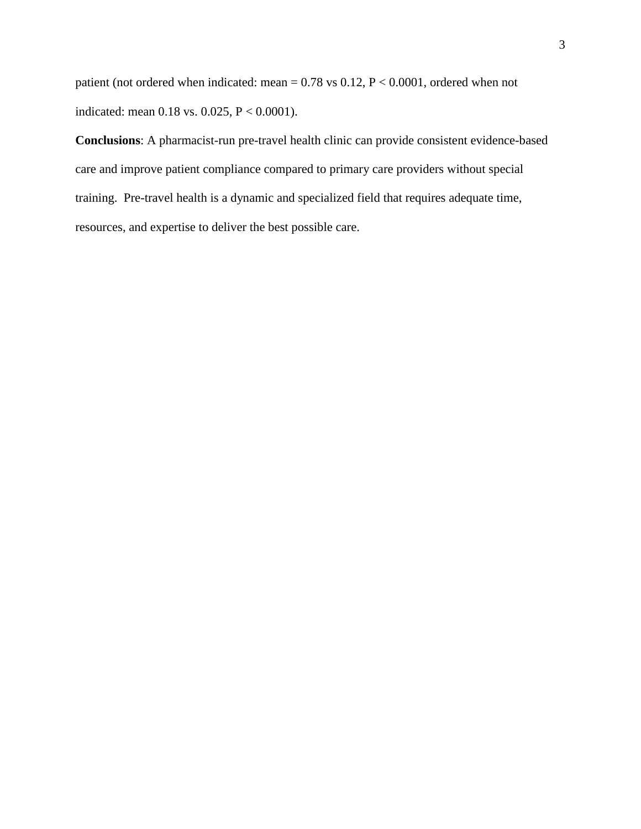patient (not ordered when indicated: mean = 0.78 vs 0.12, P < 0.0001, ordered when not indicated: mean 0.18 vs. 0.025, P < 0.0001).

**Conclusions**: A pharmacist-run pre-travel health clinic can provide consistent evidence-based care and improve patient compliance compared to primary care providers without special training. Pre-travel health is a dynamic and specialized field that requires adequate time, resources, and expertise to deliver the best possible care.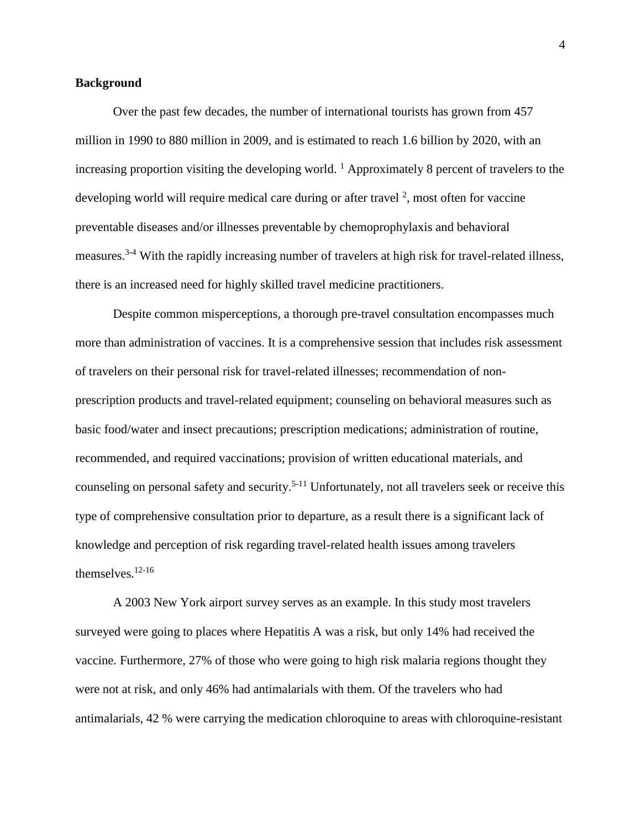### **Background**

Over the past few decades, the number of international tourists has grown from 457 million in 1990 to 880 million in 2009, and is estimated to reach 1.6 billion by 2020, with an increasing proportion visiting the developing world. <sup>1</sup> Approximately 8 percent of travelers to the developing world will require medical care during or after travel  $2$ , most often for vaccine preventable diseases and/or illnesses preventable by chemoprophylaxis and behavioral measures.<sup>3-4</sup> With the rapidly increasing number of travelers at high risk for travel-related illness, there is an increased need for highly skilled travel medicine practitioners.

Despite common misperceptions, a thorough pre-travel consultation encompasses much more than administration of vaccines. It is a comprehensive session that includes risk assessment of travelers on their personal risk for travel-related illnesses; recommendation of nonprescription products and travel-related equipment; counseling on behavioral measures such as basic food/water and insect precautions; prescription medications; administration of routine, recommended, and required vaccinations; provision of written educational materials, and counseling on personal safety and security. 5-11 Unfortunately, not all travelers seek or receive this type of comprehensive consultation prior to departure, as a result there is a significant lack of knowledge and perception of risk regarding travel-related health issues among travelers themselves. 12-16

A 2003 New York airport survey serves as an example. In this study most travelers surveyed were going to places where Hepatitis A was a risk, but only 14% had received the vaccine. Furthermore, 27% of those who were going to high risk malaria regions thought they were not at risk, and only 46% had antimalarials with them. Of the travelers who had antimalarials, 42 % were carrying the medication chloroquine to areas with chloroquine-resistant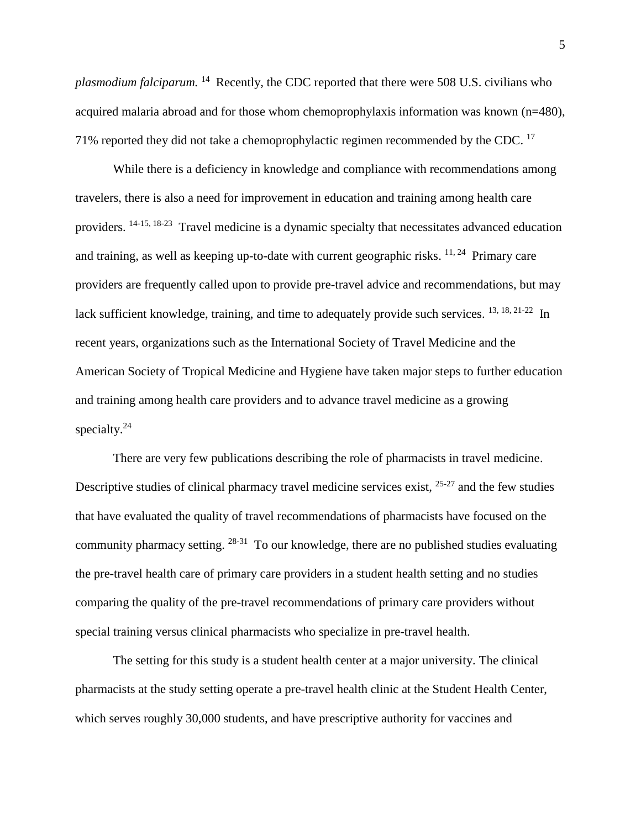plasmodium falciparum. <sup>14</sup> Recently, the CDC reported that there were 508 U.S. civilians who acquired malaria abroad and for those whom chemoprophylaxis information was known (n=480), 71% reported they did not take a chemoprophylactic regimen recommended by the CDC.  $^{17}$ 

While there is a deficiency in knowledge and compliance with recommendations among travelers, there is also a need for improvement in education and training among health care providers. <sup>14-15, 18-23</sup> Travel medicine is a dynamic specialty that necessitates advanced education and training, as well as keeping up-to-date with current geographic risks.  $11, 24$  Primary care providers are frequently called upon to provide pre-travel advice and recommendations, but may lack sufficient knowledge, training, and time to adequately provide such services. <sup>13, 18, 21-22</sup> In recent years, organizations such as the International Society of Travel Medicine and the American Society of Tropical Medicine and Hygiene have taken major steps to further education and training among health care providers and to advance travel medicine as a growing specialty.<sup>24</sup>

There are very few publications describing the role of pharmacists in travel medicine. Descriptive studies of clinical pharmacy travel medicine services exist, <sup>25-27</sup> and the few studies that have evaluated the quality of travel recommendations of pharmacists have focused on the community pharmacy setting. 28-31 To our knowledge, there are no published studies evaluating the pre-travel health care of primary care providers in a student health setting and no studies comparing the quality of the pre-travel recommendations of primary care providers without special training versus clinical pharmacists who specialize in pre-travel health.

The setting for this study is a student health center at a major university. The clinical pharmacists at the study setting operate a pre-travel health clinic at the Student Health Center, which serves roughly 30,000 students, and have prescriptive authority for vaccines and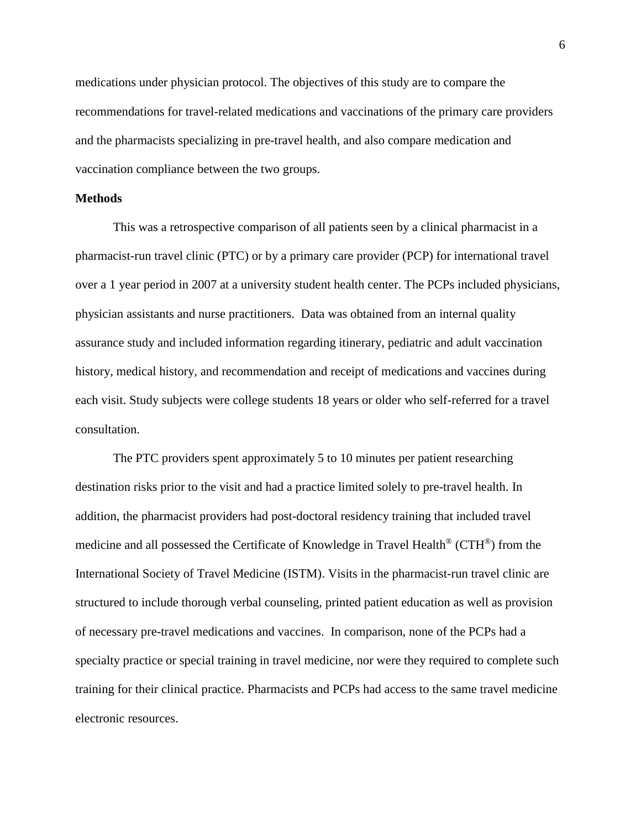medications under physician protocol. The objectives of this study are to compare the recommendations for travel-related medications and vaccinations of the primary care providers and the pharmacists specializing in pre-travel health, and also compare medication and vaccination compliance between the two groups.

### **Methods**

This was a retrospective comparison of all patients seen by a clinical pharmacist in a pharmacist-run travel clinic (PTC) or by a primary care provider (PCP) for international travel over a 1 year period in 2007 at a university student health center. The PCPs included physicians, physician assistants and nurse practitioners. Data was obtained from an internal quality assurance study and included information regarding itinerary, pediatric and adult vaccination history, medical history, and recommendation and receipt of medications and vaccines during each visit. Study subjects were college students 18 years or older who self-referred for a travel consultation.

The PTC providers spent approximately 5 to 10 minutes per patient researching destination risks prior to the visit and had a practice limited solely to pre-travel health. In addition, the pharmacist providers had post-doctoral residency training that included travel medicine and all possessed the Certificate of Knowledge in Travel Health® (CTH®) from the International Society of Travel Medicine (ISTM). Visits in the pharmacist-run travel clinic are structured to include thorough verbal counseling, printed patient education as well as provision of necessary pre-travel medications and vaccines. In comparison, none of the PCPs had a specialty practice or special training in travel medicine, nor were they required to complete such training for their clinical practice. Pharmacists and PCPs had access to the same travel medicine electronic resources.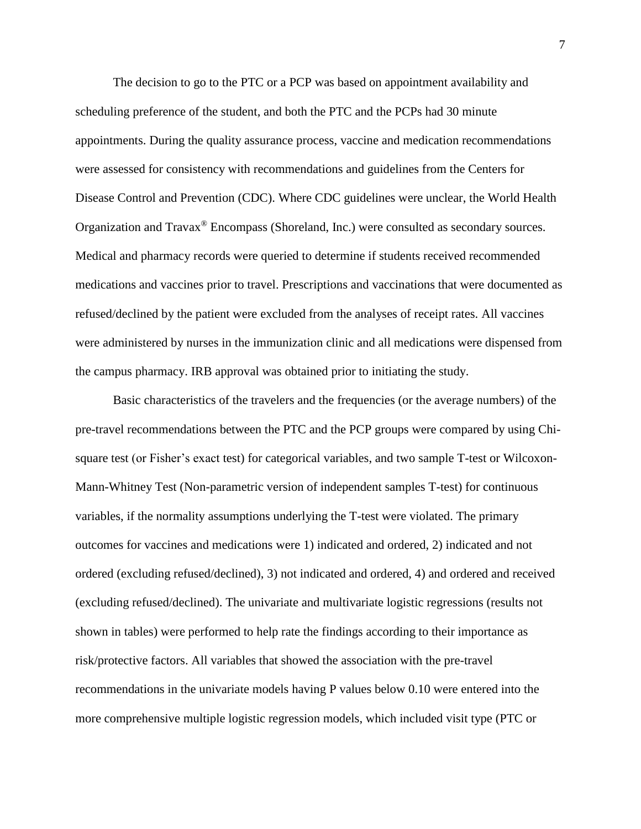The decision to go to the PTC or a PCP was based on appointment availability and scheduling preference of the student, and both the PTC and the PCPs had 30 minute appointments. During the quality assurance process, vaccine and medication recommendations were assessed for consistency with recommendations and guidelines from the Centers for Disease Control and Prevention (CDC). Where CDC guidelines were unclear, the World Health Organization and Travax® Encompass (Shoreland, Inc.) were consulted as secondary sources. Medical and pharmacy records were queried to determine if students received recommended medications and vaccines prior to travel. Prescriptions and vaccinations that were documented as refused/declined by the patient were excluded from the analyses of receipt rates. All vaccines were administered by nurses in the immunization clinic and all medications were dispensed from the campus pharmacy. IRB approval was obtained prior to initiating the study.

Basic characteristics of the travelers and the frequencies (or the average numbers) of the pre-travel recommendations between the PTC and the PCP groups were compared by using Chisquare test (or Fisher's exact test) for categorical variables, and two sample T-test or Wilcoxon-Mann-Whitney Test (Non-parametric version of independent samples T-test) for continuous variables, if the normality assumptions underlying the T-test were violated. The primary outcomes for vaccines and medications were 1) indicated and ordered, 2) indicated and not ordered (excluding refused/declined), 3) not indicated and ordered, 4) and ordered and received (excluding refused/declined). The univariate and multivariate logistic regressions (results not shown in tables) were performed to help rate the findings according to their importance as risk/protective factors. All variables that showed the association with the pre-travel recommendations in the univariate models having P values below 0.10 were entered into the more comprehensive multiple logistic regression models, which included visit type (PTC or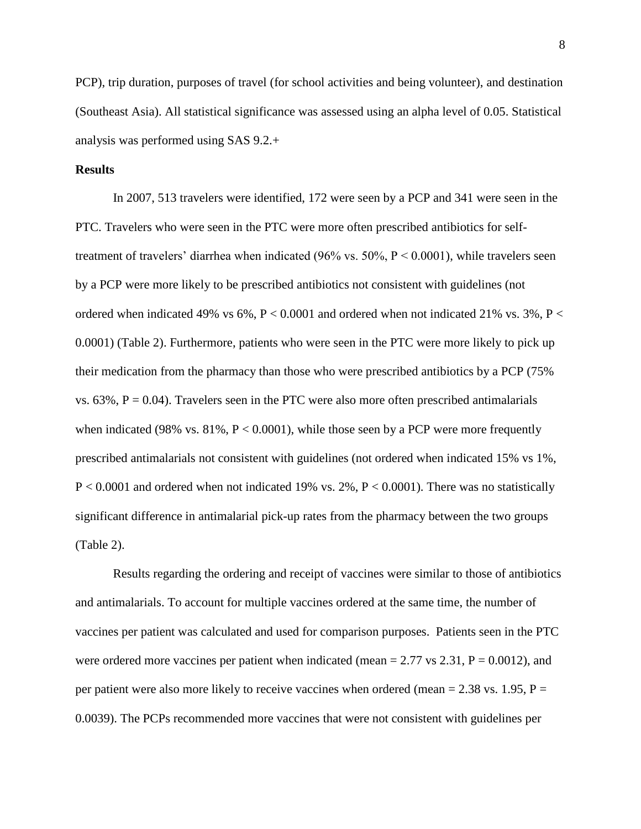PCP), trip duration, purposes of travel (for school activities and being volunteer), and destination (Southeast Asia). All statistical significance was assessed using an alpha level of 0.05. Statistical analysis was performed using SAS 9.2.+

#### **Results**

In 2007, 513 travelers were identified, 172 were seen by a PCP and 341 were seen in the PTC. Travelers who were seen in the PTC were more often prescribed antibiotics for selftreatment of travelers' diarrhea when indicated (96% vs. 50%, P < 0.0001), while travelers seen by a PCP were more likely to be prescribed antibiotics not consistent with guidelines (not ordered when indicated 49% vs 6%,  $P < 0.0001$  and ordered when not indicated 21% vs. 3%,  $P <$ 0.0001) (Table 2). Furthermore, patients who were seen in the PTC were more likely to pick up their medication from the pharmacy than those who were prescribed antibiotics by a PCP (75% vs.  $63\%$ ,  $P = 0.04$ ). Travelers seen in the PTC were also more often prescribed antimalarials when indicated (98% vs.  $81\%$ ,  $P < 0.0001$ ), while those seen by a PCP were more frequently prescribed antimalarials not consistent with guidelines (not ordered when indicated 15% vs 1%,  $P < 0.0001$  and ordered when not indicated 19% vs. 2%,  $P < 0.0001$ ). There was no statistically significant difference in antimalarial pick-up rates from the pharmacy between the two groups (Table 2).

Results regarding the ordering and receipt of vaccines were similar to those of antibiotics and antimalarials. To account for multiple vaccines ordered at the same time, the number of vaccines per patient was calculated and used for comparison purposes. Patients seen in the PTC were ordered more vaccines per patient when indicated (mean  $= 2.77$  vs 2.31,  $P = 0.0012$ ), and per patient were also more likely to receive vaccines when ordered (mean  $= 2.38$  vs. 1.95, P  $=$ 0.0039). The PCPs recommended more vaccines that were not consistent with guidelines per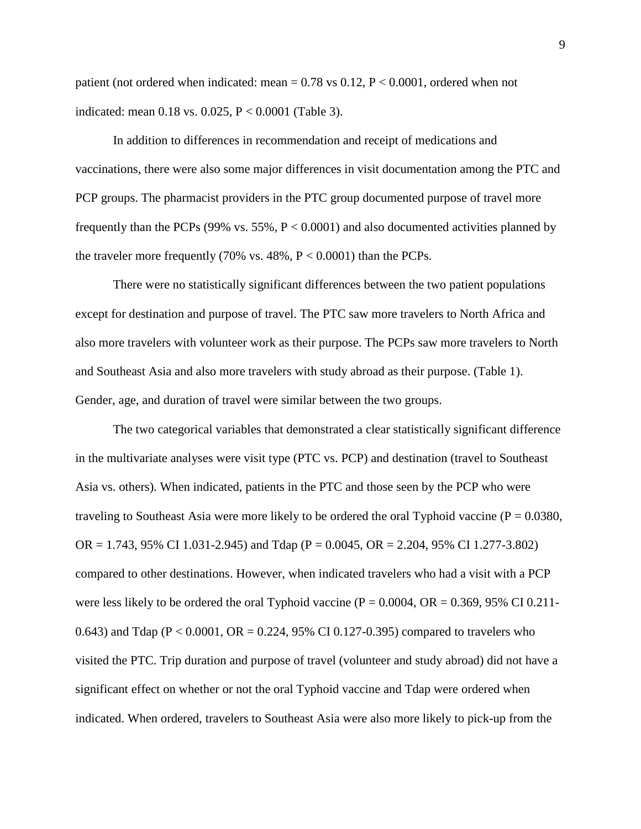patient (not ordered when indicated: mean  $= 0.78$  vs 0.12,  $P < 0.0001$ , ordered when not indicated: mean 0.18 vs. 0.025, P < 0.0001 (Table 3).

In addition to differences in recommendation and receipt of medications and vaccinations, there were also some major differences in visit documentation among the PTC and PCP groups. The pharmacist providers in the PTC group documented purpose of travel more frequently than the PCPs (99% vs. 55%,  $P < 0.0001$ ) and also documented activities planned by the traveler more frequently (70% vs.  $48\%$ ,  $P < 0.0001$ ) than the PCPs.

There were no statistically significant differences between the two patient populations except for destination and purpose of travel. The PTC saw more travelers to North Africa and also more travelers with volunteer work as their purpose. The PCPs saw more travelers to North and Southeast Asia and also more travelers with study abroad as their purpose. (Table 1). Gender, age, and duration of travel were similar between the two groups.

The two categorical variables that demonstrated a clear statistically significant difference in the multivariate analyses were visit type (PTC vs. PCP) and destination (travel to Southeast Asia vs. others). When indicated, patients in the PTC and those seen by the PCP who were traveling to Southeast Asia were more likely to be ordered the oral Typhoid vaccine ( $P = 0.0380$ ,  $OR = 1.743$ , 95% CI 1.031-2.945) and Tdap (P = 0.0045, OR = 2.204, 95% CI 1.277-3.802) compared to other destinations. However, when indicated travelers who had a visit with a PCP were less likely to be ordered the oral Typhoid vaccine ( $P = 0.0004$ ,  $OR = 0.369$ , 95% CI 0.211-0.643) and Tdap ( $P < 0.0001$ ,  $OR = 0.224$ , 95% CI 0.127-0.395) compared to travelers who visited the PTC. Trip duration and purpose of travel (volunteer and study abroad) did not have a significant effect on whether or not the oral Typhoid vaccine and Tdap were ordered when indicated. When ordered, travelers to Southeast Asia were also more likely to pick-up from the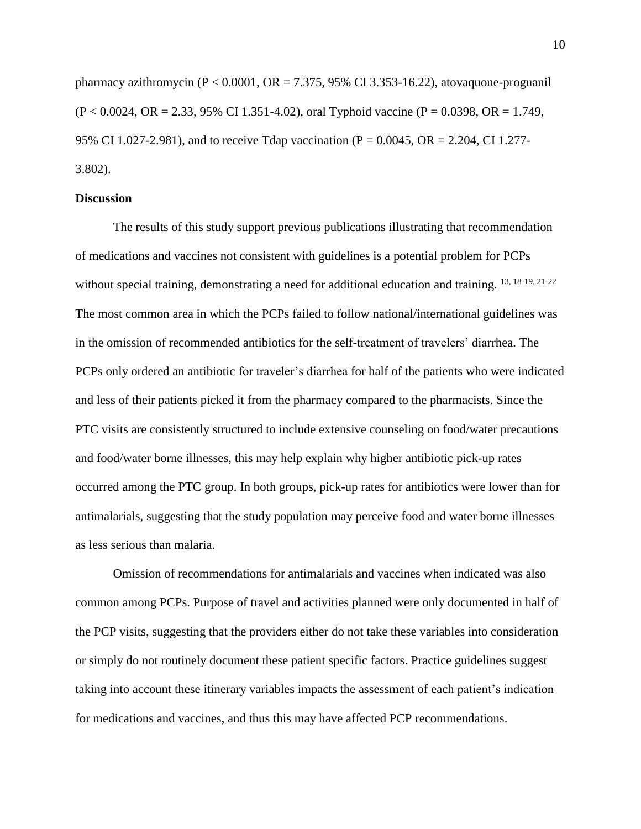pharmacy azithromycin  $(P < 0.0001$ ,  $OR = 7.375$ , 95% CI 3.353-16.22), atovaquone-proguanil  $(P < 0.0024, \text{ OR } = 2.33, 95\% \text{ CI } 1.351 - 4.02$ , oral Typhoid vaccine  $(P = 0.0398, \text{ OR } = 1.749,$ 95% CI 1.027-2.981), and to receive Tdap vaccination ( $P = 0.0045$ ,  $OR = 2.204$ , CI 1.277-3.802).

## **Discussion**

The results of this study support previous publications illustrating that recommendation of medications and vaccines not consistent with guidelines is a potential problem for PCPs without special training, demonstrating a need for additional education and training. <sup>13, 18-19, 21-22</sup> The most common area in which the PCPs failed to follow national/international guidelines was in the omission of recommended antibiotics for the self-treatment of travelers' diarrhea. The PCPs only ordered an antibiotic for traveler's diarrhea for half of the patients who were indicated and less of their patients picked it from the pharmacy compared to the pharmacists. Since the PTC visits are consistently structured to include extensive counseling on food/water precautions and food/water borne illnesses, this may help explain why higher antibiotic pick-up rates occurred among the PTC group. In both groups, pick-up rates for antibiotics were lower than for antimalarials, suggesting that the study population may perceive food and water borne illnesses as less serious than malaria.

Omission of recommendations for antimalarials and vaccines when indicated was also common among PCPs. Purpose of travel and activities planned were only documented in half of the PCP visits, suggesting that the providers either do not take these variables into consideration or simply do not routinely document these patient specific factors. Practice guidelines suggest taking into account these itinerary variables impacts the assessment of each patient's indication for medications and vaccines, and thus this may have affected PCP recommendations.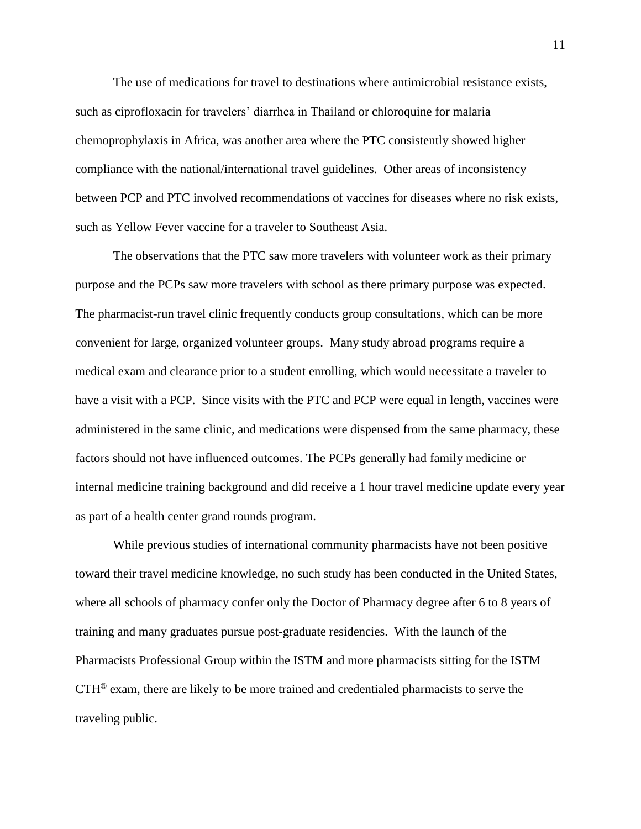The use of medications for travel to destinations where antimicrobial resistance exists, such as ciprofloxacin for travelers' diarrhea in Thailand or chloroquine for malaria chemoprophylaxis in Africa, was another area where the PTC consistently showed higher compliance with the national/international travel guidelines. Other areas of inconsistency between PCP and PTC involved recommendations of vaccines for diseases where no risk exists, such as Yellow Fever vaccine for a traveler to Southeast Asia.

The observations that the PTC saw more travelers with volunteer work as their primary purpose and the PCPs saw more travelers with school as there primary purpose was expected. The pharmacist-run travel clinic frequently conducts group consultations, which can be more convenient for large, organized volunteer groups. Many study abroad programs require a medical exam and clearance prior to a student enrolling, which would necessitate a traveler to have a visit with a PCP. Since visits with the PTC and PCP were equal in length, vaccines were administered in the same clinic, and medications were dispensed from the same pharmacy, these factors should not have influenced outcomes. The PCPs generally had family medicine or internal medicine training background and did receive a 1 hour travel medicine update every year as part of a health center grand rounds program.

While previous studies of international community pharmacists have not been positive toward their travel medicine knowledge, no such study has been conducted in the United States, where all schools of pharmacy confer only the Doctor of Pharmacy degree after 6 to 8 years of training and many graduates pursue post-graduate residencies. With the launch of the Pharmacists Professional Group within the ISTM and more pharmacists sitting for the ISTM CTH® exam, there are likely to be more trained and credentialed pharmacists to serve the traveling public.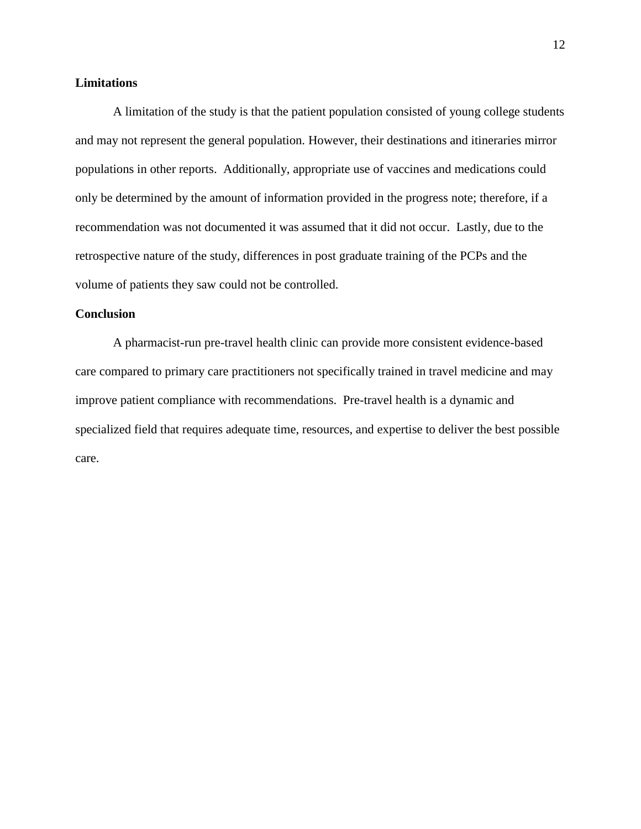## **Limitations**

A limitation of the study is that the patient population consisted of young college students and may not represent the general population. However, their destinations and itineraries mirror populations in other reports. Additionally, appropriate use of vaccines and medications could only be determined by the amount of information provided in the progress note; therefore, if a recommendation was not documented it was assumed that it did not occur. Lastly, due to the retrospective nature of the study, differences in post graduate training of the PCPs and the volume of patients they saw could not be controlled.

## **Conclusion**

A pharmacist-run pre-travel health clinic can provide more consistent evidence-based care compared to primary care practitioners not specifically trained in travel medicine and may improve patient compliance with recommendations. Pre-travel health is a dynamic and specialized field that requires adequate time, resources, and expertise to deliver the best possible care.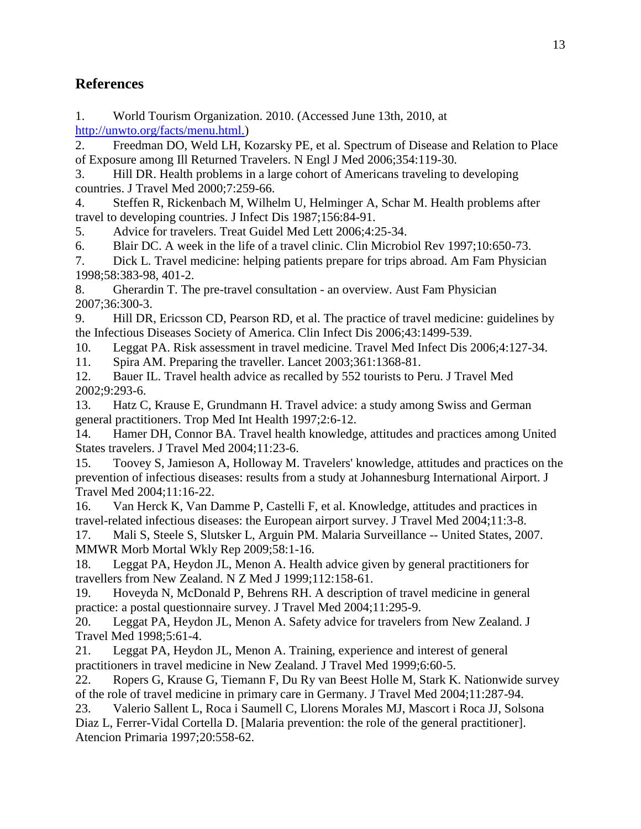# **References**

1. World Tourism Organization. 2010. (Accessed June 13th, 2010, at [http://unwto.org/facts/menu.html.\)](http://unwto.org/facts/menu.html.)

2. Freedman DO, Weld LH, Kozarsky PE, et al. Spectrum of Disease and Relation to Place of Exposure among Ill Returned Travelers. N Engl J Med 2006;354:119-30.

3. Hill DR. Health problems in a large cohort of Americans traveling to developing countries. J Travel Med 2000;7:259-66.

4. Steffen R, Rickenbach M, Wilhelm U, Helminger A, Schar M. Health problems after travel to developing countries. J Infect Dis 1987;156:84-91.

5. Advice for travelers. Treat Guidel Med Lett 2006;4:25-34.

6. Blair DC. A week in the life of a travel clinic. Clin Microbiol Rev 1997;10:650-73.

7. Dick L. Travel medicine: helping patients prepare for trips abroad. Am Fam Physician 1998;58:383-98, 401-2.

8. Gherardin T. The pre-travel consultation - an overview. Aust Fam Physician 2007;36:300-3.

9. Hill DR, Ericsson CD, Pearson RD, et al. The practice of travel medicine: guidelines by the Infectious Diseases Society of America. Clin Infect Dis 2006;43:1499-539.

10. Leggat PA. Risk assessment in travel medicine. Travel Med Infect Dis 2006;4:127-34.

11. Spira AM. Preparing the traveller. Lancet 2003;361:1368-81.

12. Bauer IL. Travel health advice as recalled by 552 tourists to Peru. J Travel Med 2002;9:293-6.

13. Hatz C, Krause E, Grundmann H. Travel advice: a study among Swiss and German general practitioners. Trop Med Int Health 1997;2:6-12.

14. Hamer DH, Connor BA. Travel health knowledge, attitudes and practices among United States travelers. J Travel Med 2004;11:23-6.

15. Toovey S, Jamieson A, Holloway M. Travelers' knowledge, attitudes and practices on the prevention of infectious diseases: results from a study at Johannesburg International Airport. J Travel Med 2004;11:16-22.

16. Van Herck K, Van Damme P, Castelli F, et al. Knowledge, attitudes and practices in travel-related infectious diseases: the European airport survey. J Travel Med 2004;11:3-8.

17. Mali S, Steele S, Slutsker L, Arguin PM. Malaria Surveillance -- United States, 2007. MMWR Morb Mortal Wkly Rep 2009;58:1-16.

18. Leggat PA, Heydon JL, Menon A. Health advice given by general practitioners for travellers from New Zealand. N Z Med J 1999;112:158-61.

19. Hoveyda N, McDonald P, Behrens RH. A description of travel medicine in general practice: a postal questionnaire survey. J Travel Med 2004;11:295-9.

20. Leggat PA, Heydon JL, Menon A. Safety advice for travelers from New Zealand. J Travel Med 1998;5:61-4.

21. Leggat PA, Heydon JL, Menon A. Training, experience and interest of general practitioners in travel medicine in New Zealand. J Travel Med 1999;6:60-5.

22. Ropers G, Krause G, Tiemann F, Du Ry van Beest Holle M, Stark K. Nationwide survey of the role of travel medicine in primary care in Germany. J Travel Med 2004;11:287-94.

23. Valerio Sallent L, Roca i Saumell C, Llorens Morales MJ, Mascort i Roca JJ, Solsona Diaz L, Ferrer-Vidal Cortella D. [Malaria prevention: the role of the general practitioner]. Atencion Primaria 1997;20:558-62.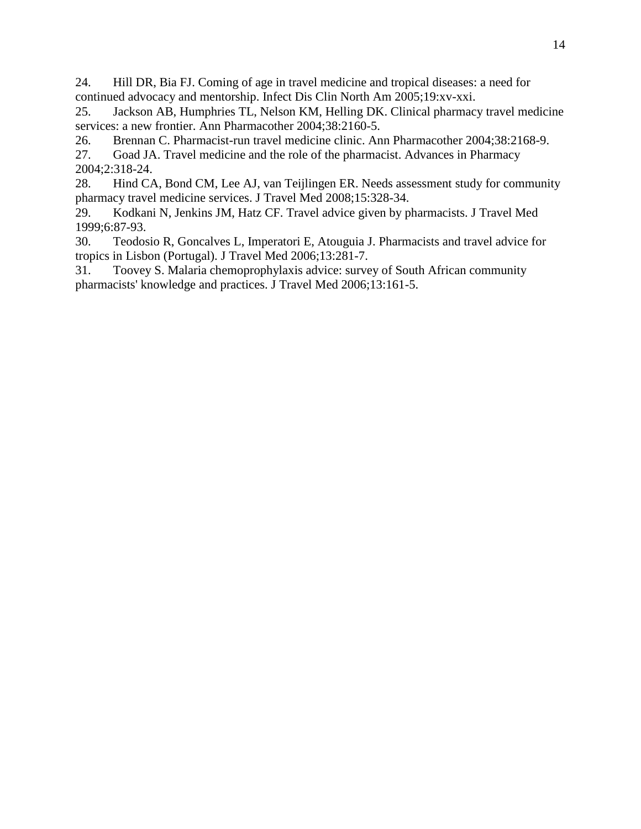24. Hill DR, Bia FJ. Coming of age in travel medicine and tropical diseases: a need for continued advocacy and mentorship. Infect Dis Clin North Am 2005;19:xv-xxi.

25. Jackson AB, Humphries TL, Nelson KM, Helling DK. Clinical pharmacy travel medicine services: a new frontier. Ann Pharmacother 2004;38:2160-5.

26. Brennan C. Pharmacist-run travel medicine clinic. Ann Pharmacother 2004;38:2168-9. 27. Goad JA. Travel medicine and the role of the pharmacist. Advances in Pharmacy 2004;2:318-24.

28. Hind CA, Bond CM, Lee AJ, van Teijlingen ER. Needs assessment study for community pharmacy travel medicine services. J Travel Med 2008;15:328-34.

29. Kodkani N, Jenkins JM, Hatz CF. Travel advice given by pharmacists. J Travel Med 1999;6:87-93.

30. Teodosio R, Goncalves L, Imperatori E, Atouguia J. Pharmacists and travel advice for tropics in Lisbon (Portugal). J Travel Med 2006;13:281-7.

31. Toovey S. Malaria chemoprophylaxis advice: survey of South African community pharmacists' knowledge and practices. J Travel Med 2006;13:161-5.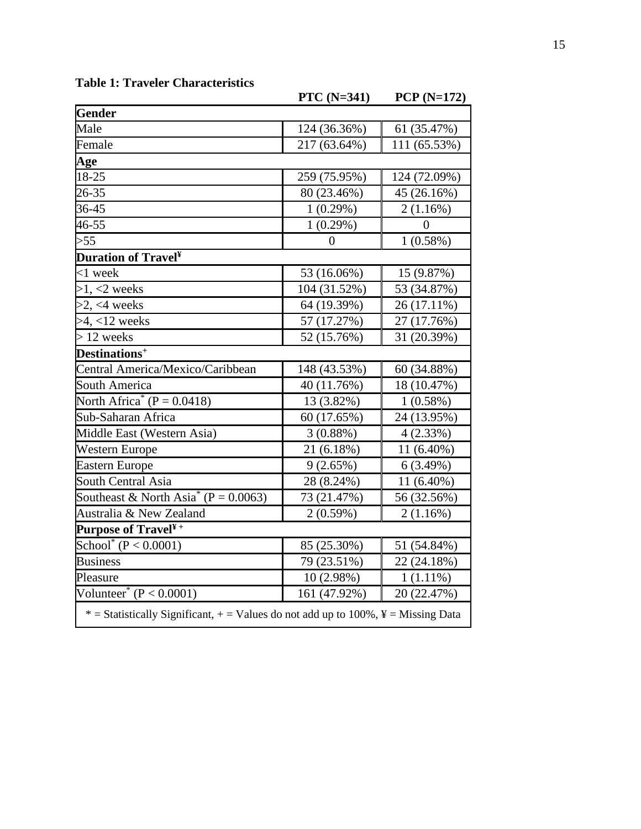|                                                                                                   | <b>PTC</b> (N=341) | $PCP(N=172)$   |
|---------------------------------------------------------------------------------------------------|--------------------|----------------|
| <b>Gender</b>                                                                                     |                    |                |
| Male                                                                                              | 124 (36.36%)       | 61 (35.47%)    |
| Female                                                                                            | 217 (63.64%)       | 111 (65.53%)   |
| Age                                                                                               |                    |                |
| 18-25                                                                                             | 259 (75.95%)       | 124 (72.09%)   |
| 26-35                                                                                             | 80 (23.46%)        | 45 (26.16%)    |
| 36-45                                                                                             | 1(0.29%)           | 2(1.16%)       |
| 46-55                                                                                             | 1(0.29%)           | $\overline{0}$ |
| >55                                                                                               | $\boldsymbol{0}$   | 1(0.58%)       |
| <b>Duration of Travel<sup>¥</sup></b>                                                             |                    |                |
| $<$ 1 week                                                                                        | 53 (16.06%)        | 15 (9.87%)     |
| $>1, <2$ weeks                                                                                    | 104 (31.52%)       | 53 (34.87%)    |
| $>2,$ <4 weeks                                                                                    | 64 (19.39%)        | 26 (17.11%)    |
| $>4, <12$ weeks                                                                                   | 57 (17.27%)        | 27 (17.76%)    |
| $> 12$ weeks                                                                                      | 52 (15.76%)        | 31 (20.39%)    |
| Destinations <sup>+</sup>                                                                         |                    |                |
| Central America/Mexico/Caribbean                                                                  | 148 (43.53%)       | 60 (34.88%)    |
| <b>South America</b>                                                                              | 40 (11.76%)        | 18 (10.47%)    |
| North Africa <sup>*</sup> (P = 0.0418)                                                            | 13 (3.82%)         | 1(0.58%)       |
| Sub-Saharan Africa                                                                                | 60 (17.65%)        | 24 (13.95%)    |
| Middle East (Western Asia)                                                                        | 3(0.88%)           | 4(2.33%)       |
| Western Europe                                                                                    | 21 (6.18%)         | $11(6.40\%)$   |
| <b>Eastern Europe</b>                                                                             | 9(2.65%)           | 6(3.49%)       |
| <b>South Central Asia</b>                                                                         | 28 (8.24%)         | 11 (6.40%)     |
| Southeast & North Asia <sup>*</sup> (P = 0.0063)                                                  | 73 (21.47%)        | 56 (32.56%)    |
| Australia & New Zealand                                                                           | 2(0.59%)           | 2(1.16%)       |
| Purpose of Travel <sup>¥+</sup>                                                                   |                    |                |
| School <sup>*</sup> (P < 0.0001)                                                                  | 85 (25.30%)        | 51 (54.84%)    |
| <b>Business</b>                                                                                   | 79 (23.51%)        | 22 (24.18%)    |
| Pleasure                                                                                          | 10 (2.98%)         | $1(1.11\%)$    |
| Volunteer <sup>*</sup> ( $P < 0.0001$ )                                                           | 161 (47.92%)       | 20 (22.47%)    |
| * = Statistically Significant, + = Values do not add up to $100\%$ , $\frac{y}{x}$ = Missing Data |                    |                |

## **Table 1: Traveler Characteristics**

15